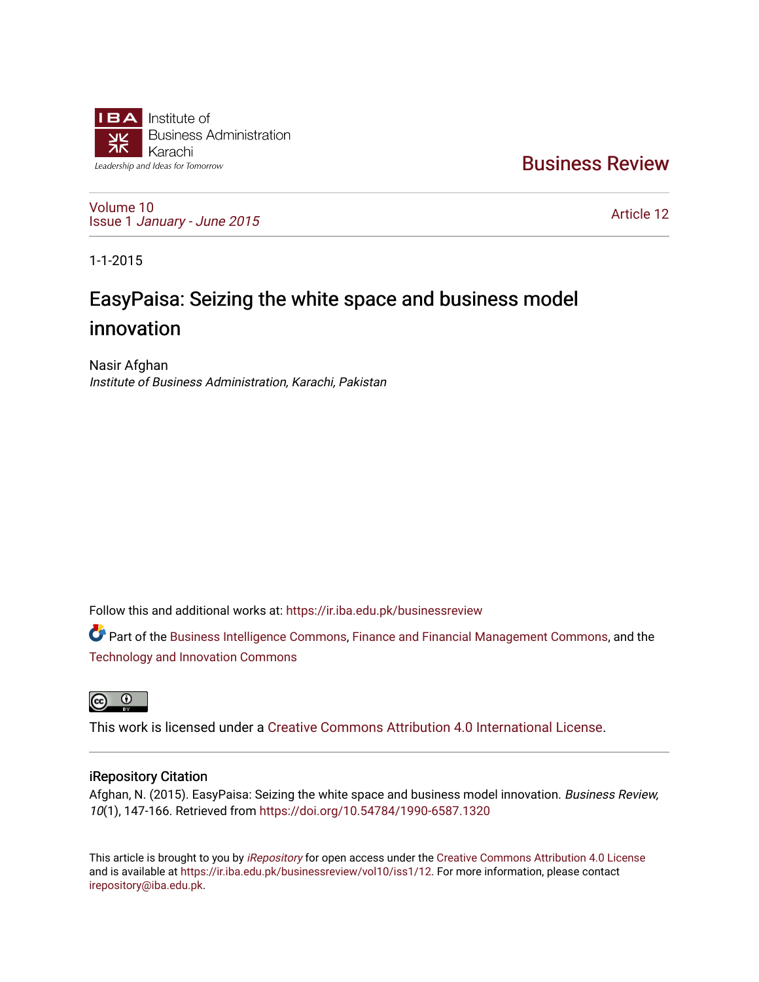

[Business Review](https://ir.iba.edu.pk/businessreview) 

[Volume 10](https://ir.iba.edu.pk/businessreview/vol10) Issue 1 [January - June 2015](https://ir.iba.edu.pk/businessreview/vol10/iss1) 

[Article 12](https://ir.iba.edu.pk/businessreview/vol10/iss1/12) 

1-1-2015

# EasyPaisa: Seizing the white space and business model innovation

Nasir Afghan Institute of Business Administration, Karachi, Pakistan

Follow this and additional works at: [https://ir.iba.edu.pk/businessreview](https://ir.iba.edu.pk/businessreview?utm_source=ir.iba.edu.pk%2Fbusinessreview%2Fvol10%2Fiss1%2F12&utm_medium=PDF&utm_campaign=PDFCoverPages) 

Part of the [Business Intelligence Commons,](http://network.bepress.com/hgg/discipline/1326?utm_source=ir.iba.edu.pk%2Fbusinessreview%2Fvol10%2Fiss1%2F12&utm_medium=PDF&utm_campaign=PDFCoverPages) [Finance and Financial Management Commons,](http://network.bepress.com/hgg/discipline/631?utm_source=ir.iba.edu.pk%2Fbusinessreview%2Fvol10%2Fiss1%2F12&utm_medium=PDF&utm_campaign=PDFCoverPages) and the [Technology and Innovation Commons](http://network.bepress.com/hgg/discipline/644?utm_source=ir.iba.edu.pk%2Fbusinessreview%2Fvol10%2Fiss1%2F12&utm_medium=PDF&utm_campaign=PDFCoverPages) 



This work is licensed under a [Creative Commons Attribution 4.0 International License](https://creativecommons.org/licenses/by/4.0/).

# iRepository Citation

Afghan, N. (2015). EasyPaisa: Seizing the white space and business model innovation. Business Review, 10(1), 147-166. Retrieved from<https://doi.org/10.54784/1990-6587.1320>

This article is brought to you by [iRepository](https://ir.iba.edu.pk/) for open access under the Creative Commons Attribution 4.0 License and is available at <https://ir.iba.edu.pk/businessreview/vol10/iss1/12>. For more information, please contact [irepository@iba.edu.pk.](mailto:irepository@iba.edu.pk)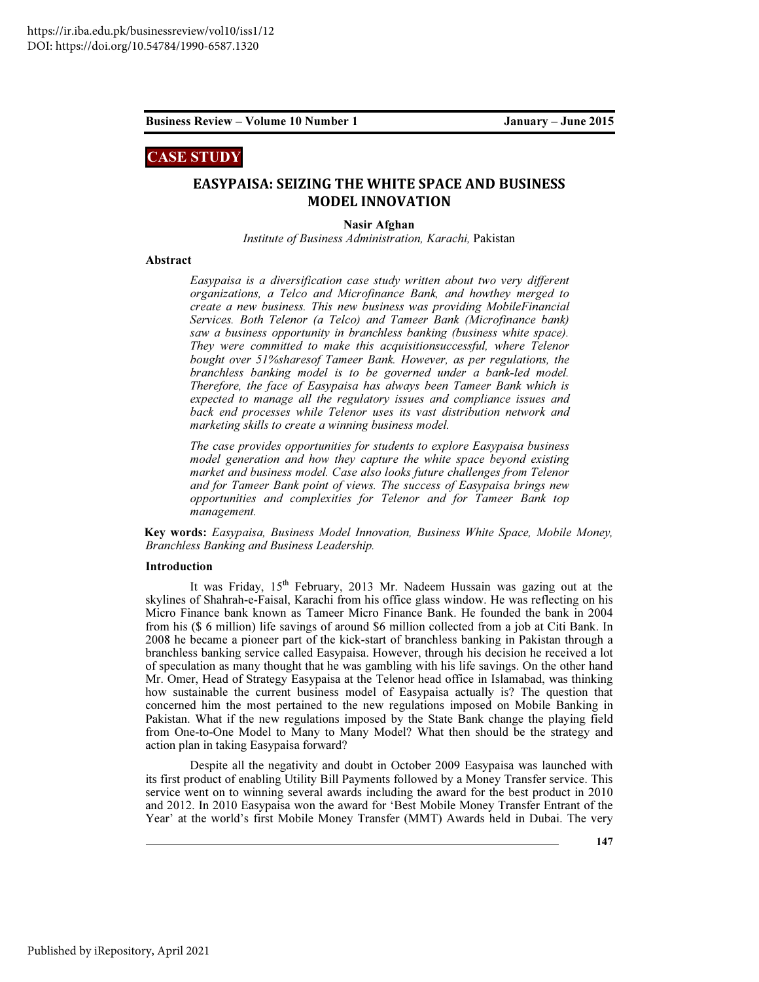# CASE STUDY

# EASYPAISA: SEIZING THE WHITE SPACE AND BUSINESS MODEL INNOVATION

Nasir Afghan

*Institute of Business Administration, Karachi,* Pakistan

### Abstract

*Easypaisa is a diversification case study written about two very different organizations, a Telco and Microfinance Bank, and howthey merged to create a new business. This new business was providing MobileFinancial Services. Both Telenor (a Telco) and Tameer Bank (Microfinance bank) saw a business opportunity in branchless banking (business white space). They were committed to make this acquisitionsuccessful, where Telenor bought over 51%sharesof Tameer Bank. However, as per regulations, the branchless banking model is to be governed under a bank-led model. Therefore, the face of Easypaisa has always been Tameer Bank which is expected to manage all the regulatory issues and compliance issues and back end processes while Telenor uses its vast distribution network and marketing skills to create a winning business model.* 

*The case provides opportunities for students to explore Easypaisa business model generation and how they capture the white space beyond existing market and business model. Case also looks future challenges from Telenor and for Tameer Bank point of views. The success of Easypaisa brings new opportunities and complexities for Telenor and for Tameer Bank top management.* 

Key words: *Easypaisa, Business Model Innovation, Business White Space, Mobile Money, Branchless Banking and Business Leadership.* 

#### Introduction

It was Friday, 15<sup>th</sup> February, 2013 Mr. Nadeem Hussain was gazing out at the skylines of Shahrah-e-Faisal, Karachi from his office glass window. He was reflecting on his Micro Finance bank known as Tameer Micro Finance Bank. He founded the bank in 2004 from his (\$ 6 million) life savings of around \$6 million collected from a job at Citi Bank. In 2008 he became a pioneer part of the kick-start of branchless banking in Pakistan through a branchless banking service called Easypaisa. However, through his decision he received a lot of speculation as many thought that he was gambling with his life savings. On the other hand Mr. Omer, Head of Strategy Easypaisa at the Telenor head office in Islamabad, was thinking how sustainable the current business model of Easypaisa actually is? The question that concerned him the most pertained to the new regulations imposed on Mobile Banking in Pakistan. What if the new regulations imposed by the State Bank change the playing field from One-to-One Model to Many to Many Model? What then should be the strategy and action plan in taking Easypaisa forward?

Despite all the negativity and doubt in October 2009 Easypaisa was launched with its first product of enabling Utility Bill Payments followed by a Money Transfer service. This service went on to winning several awards including the award for the best product in 2010 and 2012. In 2010 Easypaisa won the award for 'Best Mobile Money Transfer Entrant of the Year' at the world's first Mobile Money Transfer (MMT) Awards held in Dubai. The very

147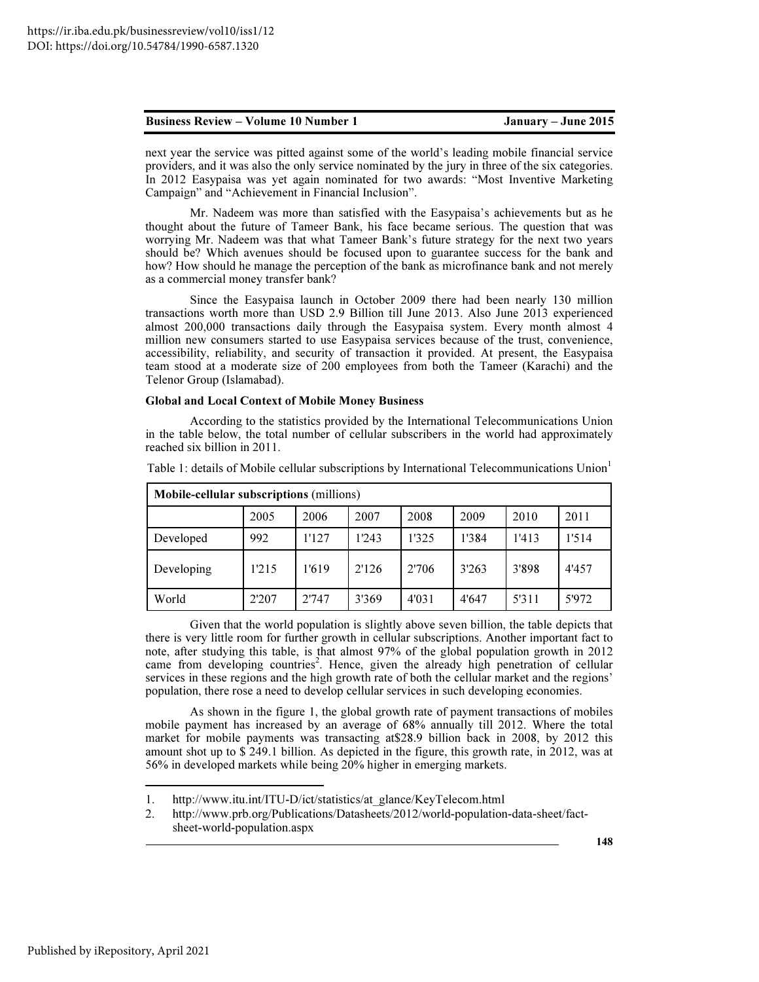next year the service was pitted against some of the world's leading mobile financial service providers, and it was also the only service nominated by the jury in three of the six categories. In 2012 Easypaisa was yet again nominated for two awards: "Most Inventive Marketing Campaign" and "Achievement in Financial Inclusion".

Mr. Nadeem was more than satisfied with the Easypaisa's achievements but as he thought about the future of Tameer Bank, his face became serious. The question that was worrying Mr. Nadeem was that what Tameer Bank's future strategy for the next two years should be? Which avenues should be focused upon to guarantee success for the bank and how? How should he manage the perception of the bank as microfinance bank and not merely as a commercial money transfer bank?

Since the Easypaisa launch in October 2009 there had been nearly 130 million transactions worth more than USD 2.9 Billion till June 2013. Also June 2013 experienced almost 200,000 transactions daily through the Easypaisa system. Every month almost 4 million new consumers started to use Easypaisa services because of the trust, convenience, accessibility, reliability, and security of transaction it provided. At present, the Easypaisa team stood at a moderate size of 200 employees from both the Tameer (Karachi) and the Telenor Group (Islamabad).

#### Global and Local Context of Mobile Money Business

According to the statistics provided by the International Telecommunications Union in the table below, the total number of cellular subscribers in the world had approximately reached six billion in 2011.

| <b>Mobile-cellular subscriptions (millions)</b> |       |       |       |       |       |       |       |
|-------------------------------------------------|-------|-------|-------|-------|-------|-------|-------|
|                                                 | 2005  | 2006  | 2007  | 2008  | 2009  | 2010  | 2011  |
| Developed                                       | 992   | 1'127 | 1'243 | 1'325 | 1'384 | 1'413 | 1'514 |
| Developing                                      | 1'215 | 1'619 | 2'126 | 2'706 | 3'263 | 3'898 | 4'457 |
| World                                           | 2'207 | 2'747 | 3'369 | 4'031 | 4'647 | 5'311 | 5'972 |

Table 1: details of Mobile cellular subscriptions by International Telecommunications Union<sup>1</sup>

Given that the world population is slightly above seven billion, the table depicts that there is very little room for further growth in cellular subscriptions. Another important fact to note, after studying this table, is that almost 97% of the global population growth in 2012 came from developing countries<sup>2</sup>. Hence, given the already high penetration of cellular services in these regions and the high growth rate of both the cellular market and the regions' population, there rose a need to develop cellular services in such developing economies.

As shown in the figure 1, the global growth rate of payment transactions of mobiles mobile payment has increased by an average of 68% annually till 2012. Where the total market for mobile payments was transacting at\$28.9 billion back in 2008, by 2012 this amount shot up to \$ 249.1 billion. As depicted in the figure, this growth rate, in 2012, was at 56% in developed markets while being 20% higher in emerging markets.

 $\overline{a}$ 

<sup>1.</sup> http://www.itu.int/ITU-D/ict/statistics/at\_glance/KeyTelecom.html

<sup>2.</sup> http://www.prb.org/Publications/Datasheets/2012/world-population-data-sheet/factsheet-world-population.aspx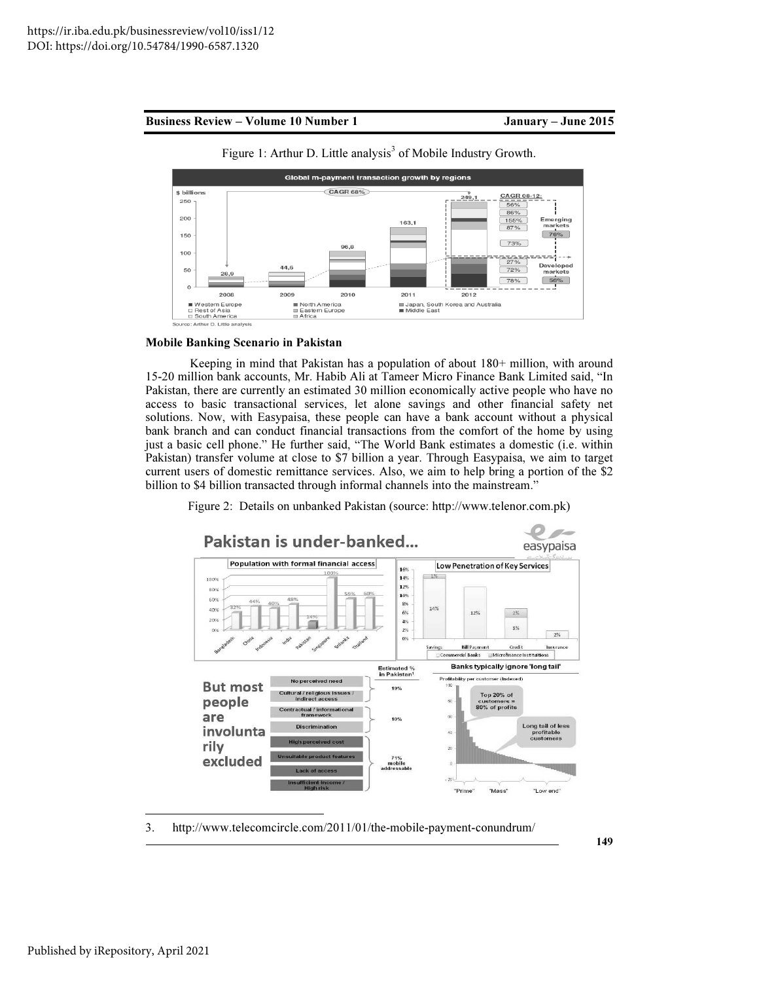

Figure 1: Arthur D. Little analysis<sup>3</sup> of Mobile Industry Growth.

#### Mobile Banking Scenario in Pakistan

Keeping in mind that Pakistan has a population of about 180+ million, with around 15-20 million bank accounts, Mr. Habib Ali at Tameer Micro Finance Bank Limited said, "In Pakistan, there are currently an estimated 30 million economically active people who have no access to basic transactional services, let alone savings and other financial safety net solutions. Now, with Easypaisa, these people can have a bank account without a physical bank branch and can conduct financial transactions from the comfort of the home by using just a basic cell phone." He further said, "The World Bank estimates a domestic (i.e. within Pakistan) transfer volume at close to \$7 billion a year. Through Easypaisa, we aim to target current users of domestic remittance services. Also, we aim to help bring a portion of the \$2 billion to \$4 billion transacted through informal channels into the mainstream."

Figure 2: Details on unbanked Pakistan (source: http://www.telenor.com.pk)



3. http://www.telecomcircle.com/2011/01/the-mobile-payment-conundrum/

 $\overline{a}$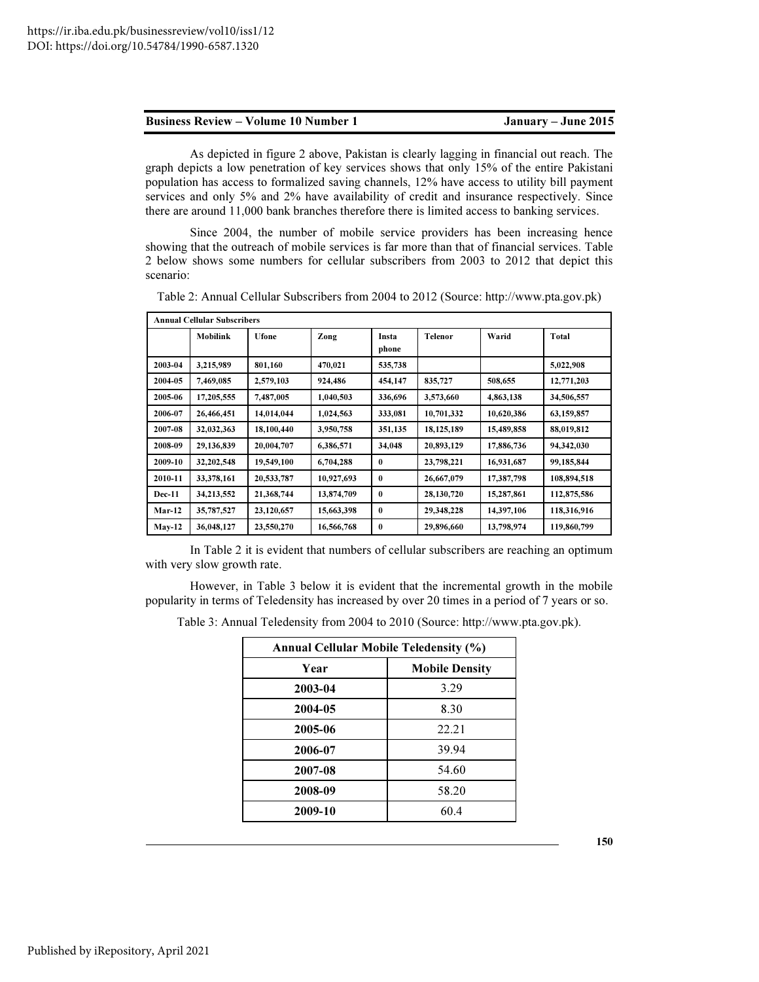As depicted in figure 2 above, Pakistan is clearly lagging in financial out reach. The graph depicts a low penetration of key services shows that only 15% of the entire Pakistani population has access to formalized saving channels, 12% have access to utility bill payment services and only 5% and 2% have availability of credit and insurance respectively. Since there are around 11,000 bank branches therefore there is limited access to banking services.

Since 2004, the number of mobile service providers has been increasing hence showing that the outreach of mobile services is far more than that of financial services. Table 2 below shows some numbers for cellular subscribers from 2003 to 2012 that depict this scenario:

|               | <b>Annual Cellular Subscribers</b> |              |            |                |                |            |             |
|---------------|------------------------------------|--------------|------------|----------------|----------------|------------|-------------|
|               | <b>Mobilink</b>                    | <b>Ufone</b> | Zong       | Insta<br>phone | <b>Telenor</b> | Warid      | Total       |
| 2003-04       | 3,215,989                          | 801,160      | 470,021    | 535,738        |                |            | 5,022,908   |
| 2004-05       | 7,469,085                          | 2,579,103    | 924,486    | 454,147        | 835,727        | 508,655    | 12,771,203  |
| 2005-06       | 17,205,555                         | 7,487,005    | 1,040,503  | 336,696        | 3,573,660      | 4,863,138  | 34,506,557  |
| 2006-07       | 26,466,451                         | 14,014,044   | 1,024,563  | 333,081        | 10,701,332     | 10,620,386 | 63,159,857  |
| 2007-08       | 32,032,363                         | 18,100,440   | 3,950,758  | 351,135        | 18, 125, 189   | 15,489,858 | 88,019,812  |
| 2008-09       | 29,136,839                         | 20,004,707   | 6,386,571  | 34,048         | 20,893,129     | 17,886,736 | 94,342,030  |
| 2009-10       | 32,202,548                         | 19,549,100   | 6,704,288  | $\bf{0}$       | 23,798,221     | 16,931,687 | 99,185,844  |
| 2010-11       | 33,378,161                         | 20,533,787   | 10,927,693 | $\bf{0}$       | 26,667,079     | 17,387,798 | 108,894,518 |
| <b>Dec-11</b> | 34,213,552                         | 21,368,744   | 13,874,709 | $\mathbf{0}$   | 28,130,720     | 15,287,861 | 112,875,586 |
| $Mar-12$      | 35,787,527                         | 23,120,657   | 15,663,398 | $\mathbf{0}$   | 29,348,228     | 14,397,106 | 118,316,916 |
| $May-12$      | 36,048,127                         | 23,550,270   | 16,566,768 | $\bf{0}$       | 29,896,660     | 13,798,974 | 119,860,799 |

Table 2: Annual Cellular Subscribers from 2004 to 2012 (Source: http://www.pta.gov.pk)

In Table 2 it is evident that numbers of cellular subscribers are reaching an optimum with very slow growth rate.

However, in Table 3 below it is evident that the incremental growth in the mobile popularity in terms of Teledensity has increased by over 20 times in a period of 7 years or so.

Table 3: Annual Teledensity from 2004 to 2010 (Source: http://www.pta.gov.pk).

| <b>Annual Cellular Mobile Teledensity (%)</b> |                       |  |  |  |  |
|-----------------------------------------------|-----------------------|--|--|--|--|
| Year                                          | <b>Mobile Density</b> |  |  |  |  |
| 2003-04                                       | 3.29                  |  |  |  |  |
| 2004-05                                       | 8.30                  |  |  |  |  |
| 2005-06                                       | 22.21                 |  |  |  |  |
| 2006-07                                       | 39.94                 |  |  |  |  |
| 2007-08                                       | 54.60                 |  |  |  |  |
| 2008-09                                       | 58.20                 |  |  |  |  |
| 2009-10                                       | 60.4                  |  |  |  |  |

150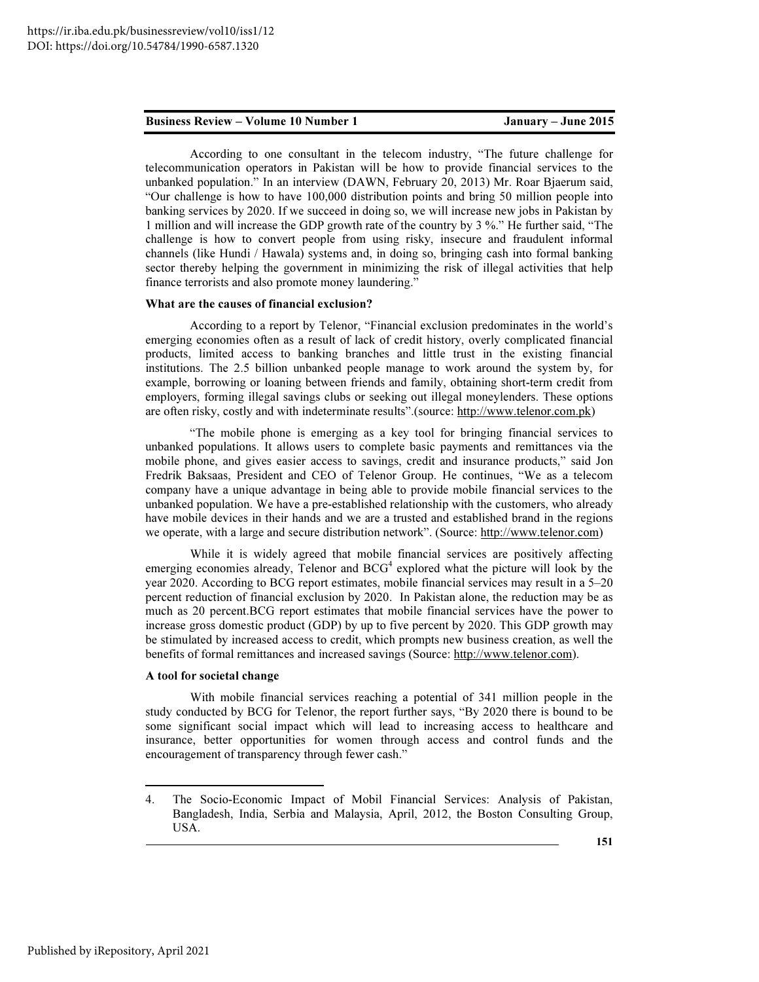According to one consultant in the telecom industry, "The future challenge for telecommunication operators in Pakistan will be how to provide financial services to the unbanked population." In an interview (DAWN, February 20, 2013) Mr. Roar Bjaerum said, "Our challenge is how to have 100,000 distribution points and bring 50 million people into banking services by 2020. If we succeed in doing so, we will increase new jobs in Pakistan by 1 million and will increase the GDP growth rate of the country by 3 %." He further said, "The challenge is how to convert people from using risky, insecure and fraudulent informal channels (like Hundi / Hawala) systems and, in doing so, bringing cash into formal banking sector thereby helping the government in minimizing the risk of illegal activities that help finance terrorists and also promote money laundering."

#### What are the causes of financial exclusion?

According to a report by Telenor, "Financial exclusion predominates in the world's emerging economies often as a result of lack of credit history, overly complicated financial products, limited access to banking branches and little trust in the existing financial institutions. The 2.5 billion unbanked people manage to work around the system by, for example, borrowing or loaning between friends and family, obtaining short-term credit from employers, forming illegal savings clubs or seeking out illegal moneylenders. These options are often risky, costly and with indeterminate results".(source: http://www.telenor.com.pk)

"The mobile phone is emerging as a key tool for bringing financial services to unbanked populations. It allows users to complete basic payments and remittances via the mobile phone, and gives easier access to savings, credit and insurance products," said Jon Fredrik Baksaas, President and CEO of Telenor Group. He continues, "We as a telecom company have a unique advantage in being able to provide mobile financial services to the unbanked population. We have a pre-established relationship with the customers, who already have mobile devices in their hands and we are a trusted and established brand in the regions we operate, with a large and secure distribution network". (Source: http://www.telenor.com)

While it is widely agreed that mobile financial services are positively affecting emerging economies already, Telenor and  $BCG<sup>4</sup>$  explored what the picture will look by the year 2020. According to BCG report estimates, mobile financial services may result in a 5–20 percent reduction of financial exclusion by 2020. In Pakistan alone, the reduction may be as much as 20 percent.BCG report estimates that mobile financial services have the power to increase gross domestic product (GDP) by up to five percent by 2020. This GDP growth may be stimulated by increased access to credit, which prompts new business creation, as well the benefits of formal remittances and increased savings (Source: http://www.telenor.com).

#### A tool for societal change

With mobile financial services reaching a potential of 341 million people in the study conducted by BCG for Telenor, the report further says, "By 2020 there is bound to be some significant social impact which will lead to increasing access to healthcare and insurance, better opportunities for women through access and control funds and the encouragement of transparency through fewer cash."

 $\overline{a}$ 

<sup>4.</sup> The Socio-Economic Impact of Mobil Financial Services: Analysis of Pakistan, Bangladesh, India, Serbia and Malaysia, April, 2012, the Boston Consulting Group, USA.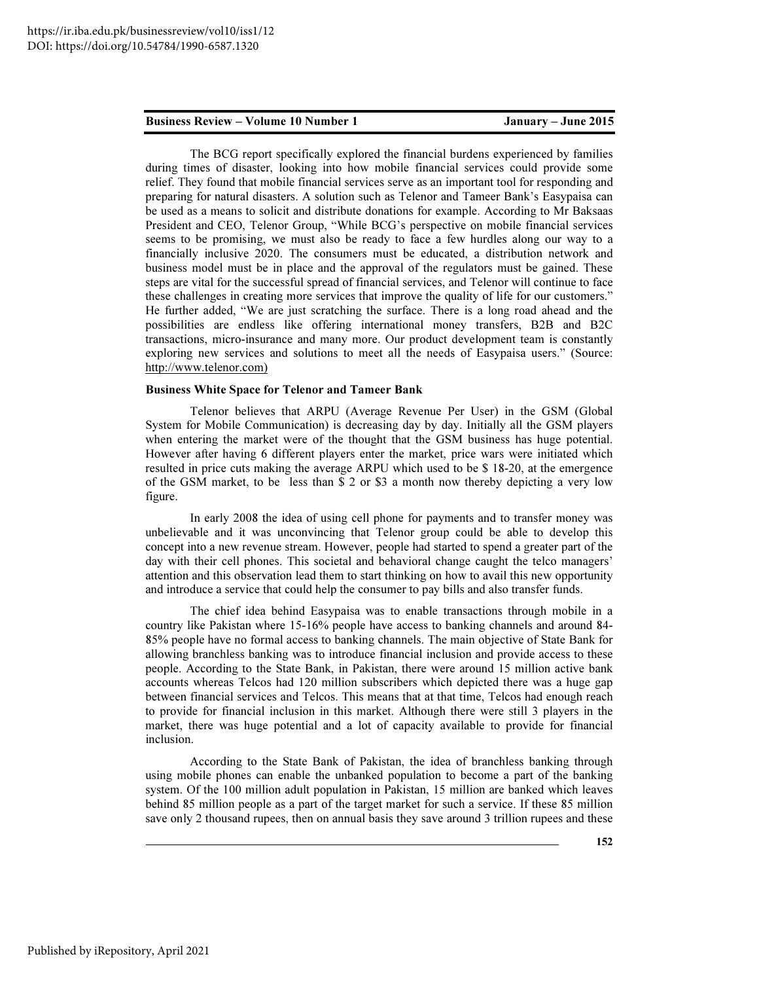The BCG report specifically explored the financial burdens experienced by families during times of disaster, looking into how mobile financial services could provide some relief. They found that mobile financial services serve as an important tool for responding and preparing for natural disasters. A solution such as Telenor and Tameer Bank's Easypaisa can be used as a means to solicit and distribute donations for example. According to Mr Baksaas President and CEO, Telenor Group, "While BCG's perspective on mobile financial services seems to be promising, we must also be ready to face a few hurdles along our way to a financially inclusive 2020. The consumers must be educated, a distribution network and business model must be in place and the approval of the regulators must be gained. These steps are vital for the successful spread of financial services, and Telenor will continue to face these challenges in creating more services that improve the quality of life for our customers." He further added, "We are just scratching the surface. There is a long road ahead and the possibilities are endless like offering international money transfers, B2B and B2C transactions, micro-insurance and many more. Our product development team is constantly exploring new services and solutions to meet all the needs of Easypaisa users." (Source: http://www.telenor.com)

### Business White Space for Telenor and Tameer Bank

Telenor believes that ARPU (Average Revenue Per User) in the GSM (Global System for Mobile Communication) is decreasing day by day. Initially all the GSM players when entering the market were of the thought that the GSM business has huge potential. However after having 6 different players enter the market, price wars were initiated which resulted in price cuts making the average ARPU which used to be \$ 18-20, at the emergence of the GSM market, to be less than \$ 2 or \$3 a month now thereby depicting a very low figure.

In early 2008 the idea of using cell phone for payments and to transfer money was unbelievable and it was unconvincing that Telenor group could be able to develop this concept into a new revenue stream. However, people had started to spend a greater part of the day with their cell phones. This societal and behavioral change caught the telco managers' attention and this observation lead them to start thinking on how to avail this new opportunity and introduce a service that could help the consumer to pay bills and also transfer funds.

The chief idea behind Easypaisa was to enable transactions through mobile in a country like Pakistan where 15-16% people have access to banking channels and around 84- 85% people have no formal access to banking channels. The main objective of State Bank for allowing branchless banking was to introduce financial inclusion and provide access to these people. According to the State Bank, in Pakistan, there were around 15 million active bank accounts whereas Telcos had 120 million subscribers which depicted there was a huge gap between financial services and Telcos. This means that at that time, Telcos had enough reach to provide for financial inclusion in this market. Although there were still 3 players in the market, there was huge potential and a lot of capacity available to provide for financial inclusion.

According to the State Bank of Pakistan, the idea of branchless banking through using mobile phones can enable the unbanked population to become a part of the banking system. Of the 100 million adult population in Pakistan, 15 million are banked which leaves behind 85 million people as a part of the target market for such a service. If these 85 million save only 2 thousand rupees, then on annual basis they save around 3 trillion rupees and these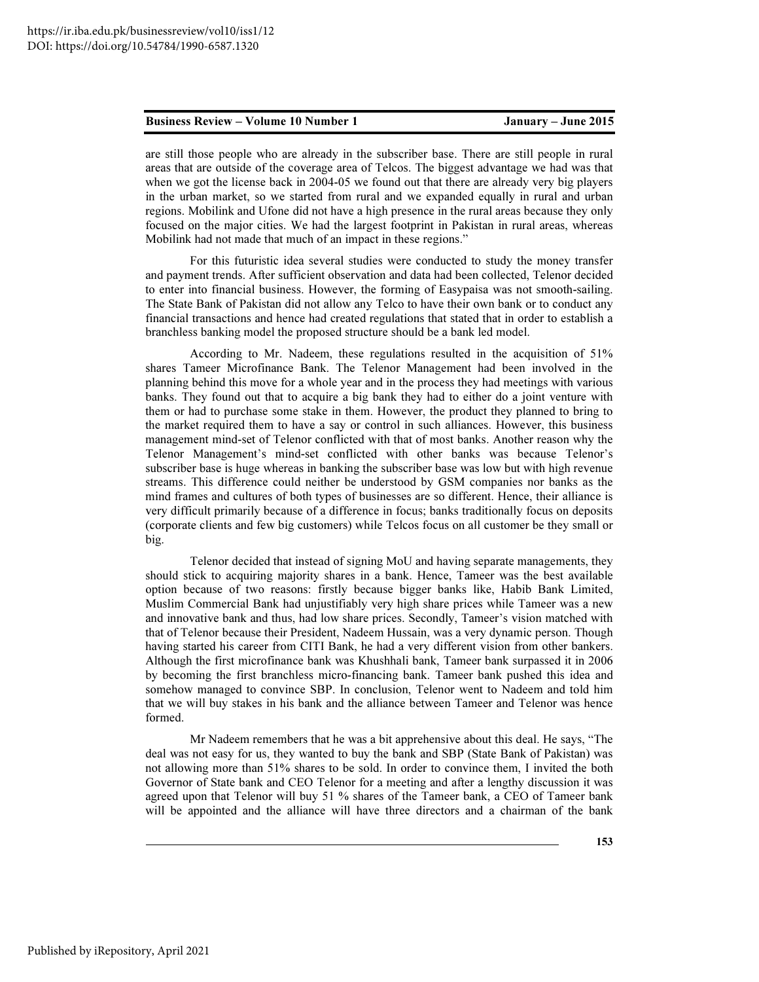are still those people who are already in the subscriber base. There are still people in rural areas that are outside of the coverage area of Telcos. The biggest advantage we had was that when we got the license back in 2004-05 we found out that there are already very big players in the urban market, so we started from rural and we expanded equally in rural and urban regions. Mobilink and Ufone did not have a high presence in the rural areas because they only focused on the major cities. We had the largest footprint in Pakistan in rural areas, whereas Mobilink had not made that much of an impact in these regions."

For this futuristic idea several studies were conducted to study the money transfer and payment trends. After sufficient observation and data had been collected, Telenor decided to enter into financial business. However, the forming of Easypaisa was not smooth-sailing. The State Bank of Pakistan did not allow any Telco to have their own bank or to conduct any financial transactions and hence had created regulations that stated that in order to establish a branchless banking model the proposed structure should be a bank led model.

According to Mr. Nadeem, these regulations resulted in the acquisition of 51% shares Tameer Microfinance Bank. The Telenor Management had been involved in the planning behind this move for a whole year and in the process they had meetings with various banks. They found out that to acquire a big bank they had to either do a joint venture with them or had to purchase some stake in them. However, the product they planned to bring to the market required them to have a say or control in such alliances. However, this business management mind-set of Telenor conflicted with that of most banks. Another reason why the Telenor Management's mind-set conflicted with other banks was because Telenor's subscriber base is huge whereas in banking the subscriber base was low but with high revenue streams. This difference could neither be understood by GSM companies nor banks as the mind frames and cultures of both types of businesses are so different. Hence, their alliance is very difficult primarily because of a difference in focus; banks traditionally focus on deposits (corporate clients and few big customers) while Telcos focus on all customer be they small or big.

Telenor decided that instead of signing MoU and having separate managements, they should stick to acquiring majority shares in a bank. Hence, Tameer was the best available option because of two reasons: firstly because bigger banks like, Habib Bank Limited, Muslim Commercial Bank had unjustifiably very high share prices while Tameer was a new and innovative bank and thus, had low share prices. Secondly, Tameer's vision matched with that of Telenor because their President, Nadeem Hussain, was a very dynamic person. Though having started his career from CITI Bank, he had a very different vision from other bankers. Although the first microfinance bank was Khushhali bank, Tameer bank surpassed it in 2006 by becoming the first branchless micro-financing bank. Tameer bank pushed this idea and somehow managed to convince SBP. In conclusion, Telenor went to Nadeem and told him that we will buy stakes in his bank and the alliance between Tameer and Telenor was hence formed.

Mr Nadeem remembers that he was a bit apprehensive about this deal. He says, "The deal was not easy for us, they wanted to buy the bank and SBP (State Bank of Pakistan) was not allowing more than 51% shares to be sold. In order to convince them, I invited the both Governor of State bank and CEO Telenor for a meeting and after a lengthy discussion it was agreed upon that Telenor will buy 51 % shares of the Tameer bank, a CEO of Tameer bank will be appointed and the alliance will have three directors and a chairman of the bank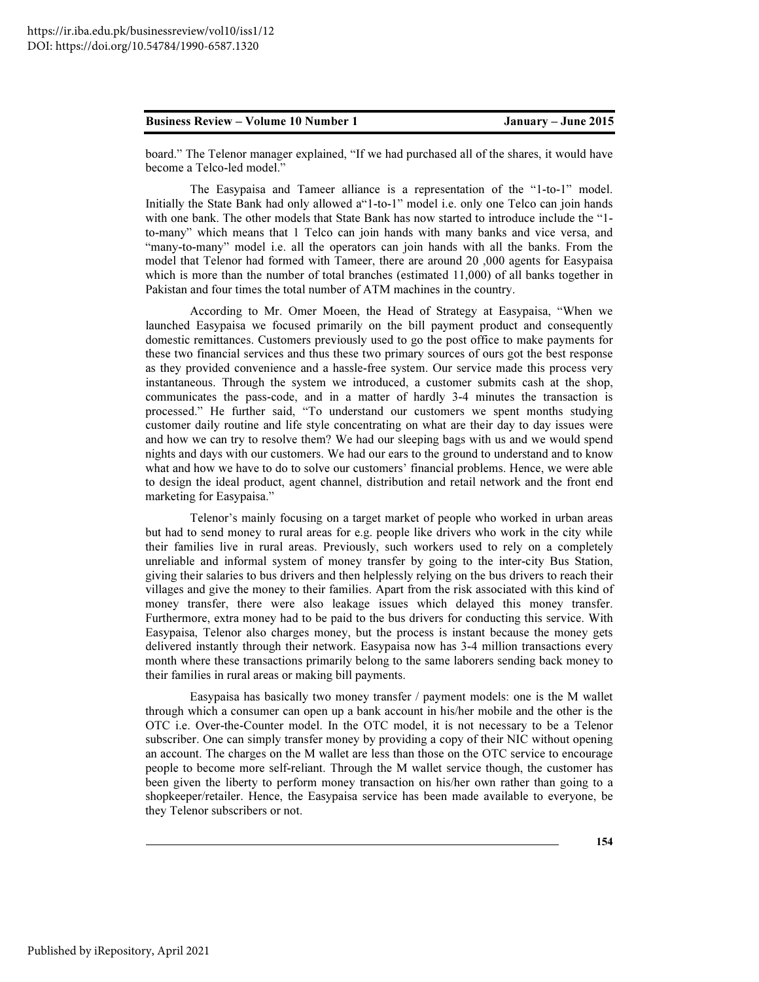board." The Telenor manager explained, "If we had purchased all of the shares, it would have become a Telco-led model."

The Easypaisa and Tameer alliance is a representation of the "1-to-1" model. Initially the State Bank had only allowed a"1-to-1" model i.e. only one Telco can join hands with one bank. The other models that State Bank has now started to introduce include the "1 to-many" which means that 1 Telco can join hands with many banks and vice versa, and "many-to-many" model i.e. all the operators can join hands with all the banks. From the model that Telenor had formed with Tameer, there are around 20 ,000 agents for Easypaisa which is more than the number of total branches (estimated 11,000) of all banks together in Pakistan and four times the total number of ATM machines in the country.

According to Mr. Omer Moeen, the Head of Strategy at Easypaisa, "When we launched Easypaisa we focused primarily on the bill payment product and consequently domestic remittances. Customers previously used to go the post office to make payments for these two financial services and thus these two primary sources of ours got the best response as they provided convenience and a hassle-free system. Our service made this process very instantaneous. Through the system we introduced, a customer submits cash at the shop, communicates the pass-code, and in a matter of hardly 3-4 minutes the transaction is processed." He further said, "To understand our customers we spent months studying customer daily routine and life style concentrating on what are their day to day issues were and how we can try to resolve them? We had our sleeping bags with us and we would spend nights and days with our customers. We had our ears to the ground to understand and to know what and how we have to do to solve our customers' financial problems. Hence, we were able to design the ideal product, agent channel, distribution and retail network and the front end marketing for Easypaisa."

Telenor's mainly focusing on a target market of people who worked in urban areas but had to send money to rural areas for e.g. people like drivers who work in the city while their families live in rural areas. Previously, such workers used to rely on a completely unreliable and informal system of money transfer by going to the inter-city Bus Station, giving their salaries to bus drivers and then helplessly relying on the bus drivers to reach their villages and give the money to their families. Apart from the risk associated with this kind of money transfer, there were also leakage issues which delayed this money transfer. Furthermore, extra money had to be paid to the bus drivers for conducting this service. With Easypaisa, Telenor also charges money, but the process is instant because the money gets delivered instantly through their network. Easypaisa now has 3-4 million transactions every month where these transactions primarily belong to the same laborers sending back money to their families in rural areas or making bill payments.

Easypaisa has basically two money transfer / payment models: one is the M wallet through which a consumer can open up a bank account in his/her mobile and the other is the OTC i.e. Over-the-Counter model. In the OTC model, it is not necessary to be a Telenor subscriber. One can simply transfer money by providing a copy of their NIC without opening an account. The charges on the M wallet are less than those on the OTC service to encourage people to become more self-reliant. Through the M wallet service though, the customer has been given the liberty to perform money transaction on his/her own rather than going to a shopkeeper/retailer. Hence, the Easypaisa service has been made available to everyone, be they Telenor subscribers or not.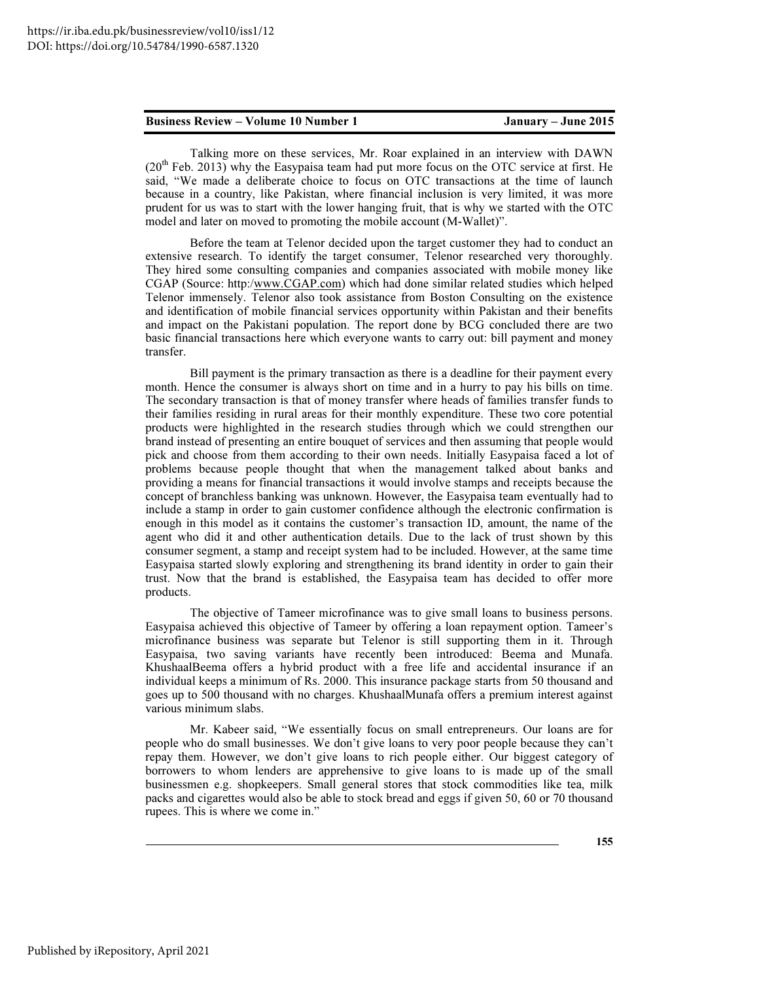Talking more on these services, Mr. Roar explained in an interview with DAWN  $(20<sup>th</sup>$  Feb. 2013) why the Easypaisa team had put more focus on the OTC service at first. He said, "We made a deliberate choice to focus on OTC transactions at the time of launch because in a country, like Pakistan, where financial inclusion is very limited, it was more prudent for us was to start with the lower hanging fruit, that is why we started with the OTC model and later on moved to promoting the mobile account (M-Wallet)".

Before the team at Telenor decided upon the target customer they had to conduct an extensive research. To identify the target consumer, Telenor researched very thoroughly. They hired some consulting companies and companies associated with mobile money like CGAP (Source: http:/www.CGAP.com) which had done similar related studies which helped Telenor immensely. Telenor also took assistance from Boston Consulting on the existence and identification of mobile financial services opportunity within Pakistan and their benefits and impact on the Pakistani population. The report done by BCG concluded there are two basic financial transactions here which everyone wants to carry out: bill payment and money transfer.

Bill payment is the primary transaction as there is a deadline for their payment every month. Hence the consumer is always short on time and in a hurry to pay his bills on time. The secondary transaction is that of money transfer where heads of families transfer funds to their families residing in rural areas for their monthly expenditure. These two core potential products were highlighted in the research studies through which we could strengthen our brand instead of presenting an entire bouquet of services and then assuming that people would pick and choose from them according to their own needs. Initially Easypaisa faced a lot of problems because people thought that when the management talked about banks and providing a means for financial transactions it would involve stamps and receipts because the concept of branchless banking was unknown. However, the Easypaisa team eventually had to include a stamp in order to gain customer confidence although the electronic confirmation is enough in this model as it contains the customer's transaction ID, amount, the name of the agent who did it and other authentication details. Due to the lack of trust shown by this consumer segment, a stamp and receipt system had to be included. However, at the same time Easypaisa started slowly exploring and strengthening its brand identity in order to gain their trust. Now that the brand is established, the Easypaisa team has decided to offer more products.

The objective of Tameer microfinance was to give small loans to business persons. Easypaisa achieved this objective of Tameer by offering a loan repayment option. Tameer's microfinance business was separate but Telenor is still supporting them in it. Through Easypaisa, two saving variants have recently been introduced: Beema and Munafa. KhushaalBeema offers a hybrid product with a free life and accidental insurance if an individual keeps a minimum of Rs. 2000. This insurance package starts from 50 thousand and goes up to 500 thousand with no charges. KhushaalMunafa offers a premium interest against various minimum slabs.

Mr. Kabeer said, "We essentially focus on small entrepreneurs. Our loans are for people who do small businesses. We don't give loans to very poor people because they can't repay them. However, we don't give loans to rich people either. Our biggest category of borrowers to whom lenders are apprehensive to give loans to is made up of the small businessmen e.g. shopkeepers. Small general stores that stock commodities like tea, milk packs and cigarettes would also be able to stock bread and eggs if given 50, 60 or 70 thousand rupees. This is where we come in."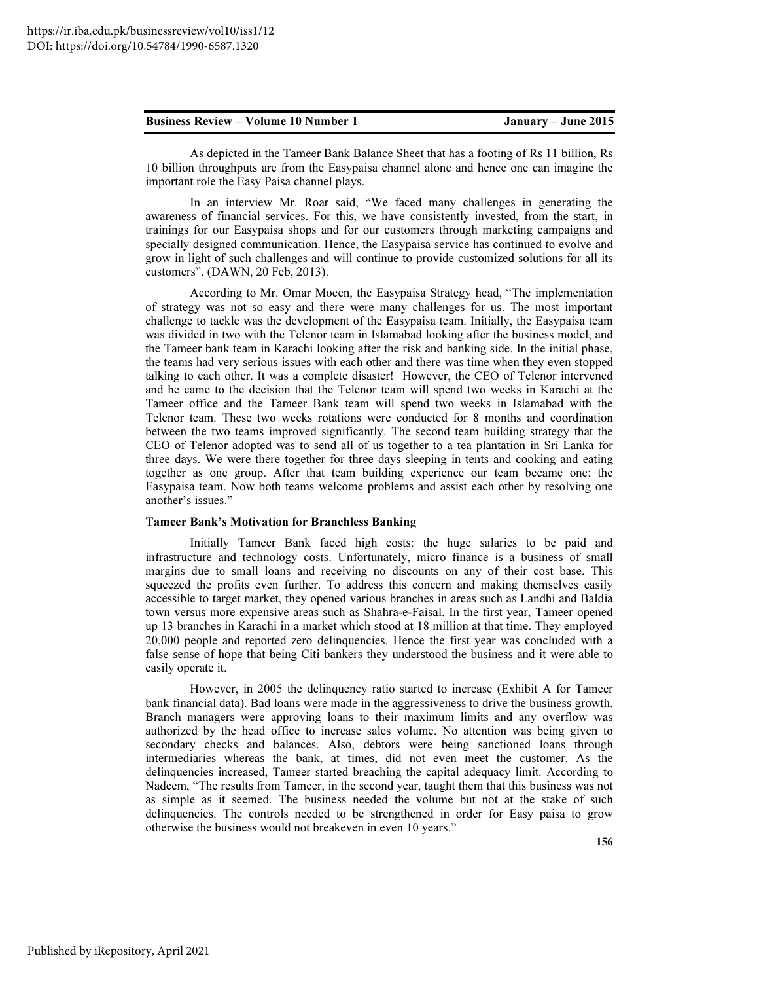As depicted in the Tameer Bank Balance Sheet that has a footing of Rs 11 billion, Rs 10 billion throughputs are from the Easypaisa channel alone and hence one can imagine the important role the Easy Paisa channel plays.

In an interview Mr. Roar said, "We faced many challenges in generating the awareness of financial services. For this, we have consistently invested, from the start, in trainings for our Easypaisa shops and for our customers through marketing campaigns and specially designed communication. Hence, the Easypaisa service has continued to evolve and grow in light of such challenges and will continue to provide customized solutions for all its customers". (DAWN, 20 Feb, 2013).

According to Mr. Omar Moeen, the Easypaisa Strategy head, "The implementation of strategy was not so easy and there were many challenges for us. The most important challenge to tackle was the development of the Easypaisa team. Initially, the Easypaisa team was divided in two with the Telenor team in Islamabad looking after the business model, and the Tameer bank team in Karachi looking after the risk and banking side. In the initial phase, the teams had very serious issues with each other and there was time when they even stopped talking to each other. It was a complete disaster! However, the CEO of Telenor intervened and he came to the decision that the Telenor team will spend two weeks in Karachi at the Tameer office and the Tameer Bank team will spend two weeks in Islamabad with the Telenor team. These two weeks rotations were conducted for 8 months and coordination between the two teams improved significantly. The second team building strategy that the CEO of Telenor adopted was to send all of us together to a tea plantation in Sri Lanka for three days. We were there together for three days sleeping in tents and cooking and eating together as one group. After that team building experience our team became one: the Easypaisa team. Now both teams welcome problems and assist each other by resolving one another's issues."

#### Tameer Bank's Motivation for Branchless Banking

Initially Tameer Bank faced high costs: the huge salaries to be paid and infrastructure and technology costs. Unfortunately, micro finance is a business of small margins due to small loans and receiving no discounts on any of their cost base. This squeezed the profits even further. To address this concern and making themselves easily accessible to target market, they opened various branches in areas such as Landhi and Baldia town versus more expensive areas such as Shahra-e-Faisal. In the first year, Tameer opened up 13 branches in Karachi in a market which stood at 18 million at that time. They employed 20,000 people and reported zero delinquencies. Hence the first year was concluded with a false sense of hope that being Citi bankers they understood the business and it were able to easily operate it.

However, in 2005 the delinquency ratio started to increase (Exhibit A for Tameer bank financial data). Bad loans were made in the aggressiveness to drive the business growth. Branch managers were approving loans to their maximum limits and any overflow was authorized by the head office to increase sales volume. No attention was being given to secondary checks and balances. Also, debtors were being sanctioned loans through intermediaries whereas the bank, at times, did not even meet the customer. As the delinquencies increased, Tameer started breaching the capital adequacy limit. According to Nadeem, "The results from Tameer, in the second year, taught them that this business was not as simple as it seemed. The business needed the volume but not at the stake of such delinquencies. The controls needed to be strengthened in order for Easy paisa to grow otherwise the business would not breakeven in even 10 years."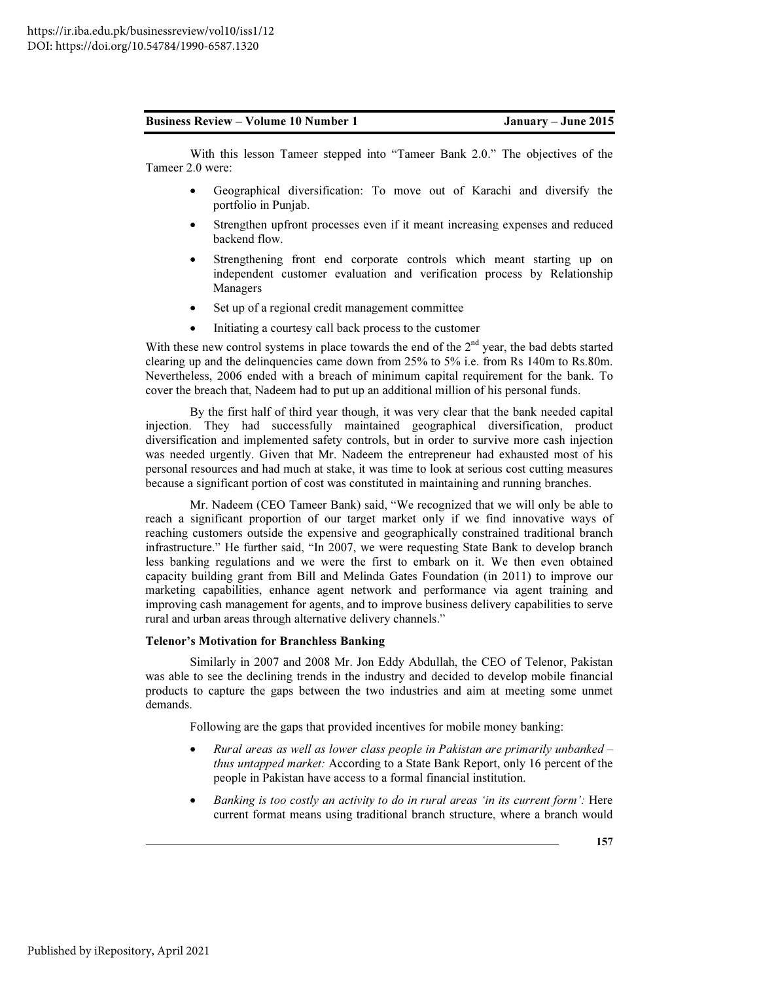With this lesson Tameer stepped into "Tameer Bank 2.0." The objectives of the Tameer 2.0 were:

- Geographical diversification: To move out of Karachi and diversify the portfolio in Punjab.
- Strengthen upfront processes even if it meant increasing expenses and reduced backend flow.
- Strengthening front end corporate controls which meant starting up on independent customer evaluation and verification process by Relationship Managers
- Set up of a regional credit management committee
- Initiating a courtesy call back process to the customer

With these new control systems in place towards the end of the  $2<sup>nd</sup>$  year, the bad debts started clearing up and the delinquencies came down from 25% to 5% i.e. from Rs 140m to Rs.80m. Nevertheless, 2006 ended with a breach of minimum capital requirement for the bank. To cover the breach that, Nadeem had to put up an additional million of his personal funds.

By the first half of third year though, it was very clear that the bank needed capital injection. They had successfully maintained geographical diversification, product diversification and implemented safety controls, but in order to survive more cash injection was needed urgently. Given that Mr. Nadeem the entrepreneur had exhausted most of his personal resources and had much at stake, it was time to look at serious cost cutting measures because a significant portion of cost was constituted in maintaining and running branches.

Mr. Nadeem (CEO Tameer Bank) said, "We recognized that we will only be able to reach a significant proportion of our target market only if we find innovative ways of reaching customers outside the expensive and geographically constrained traditional branch infrastructure." He further said, "In 2007, we were requesting State Bank to develop branch less banking regulations and we were the first to embark on it. We then even obtained capacity building grant from Bill and Melinda Gates Foundation (in 2011) to improve our marketing capabilities, enhance agent network and performance via agent training and improving cash management for agents, and to improve business delivery capabilities to serve rural and urban areas through alternative delivery channels."

#### Telenor's Motivation for Branchless Banking

Similarly in 2007 and 2008 Mr. Jon Eddy Abdullah, the CEO of Telenor, Pakistan was able to see the declining trends in the industry and decided to develop mobile financial products to capture the gaps between the two industries and aim at meeting some unmet demands.

Following are the gaps that provided incentives for mobile money banking:

- *Rural areas as well as lower class people in Pakistan are primarily unbanked thus untapped market:* According to a State Bank Report, only 16 percent of the people in Pakistan have access to a formal financial institution.
- *Banking is too costly an activity to do in rural areas 'in its current form':* Here current format means using traditional branch structure, where a branch would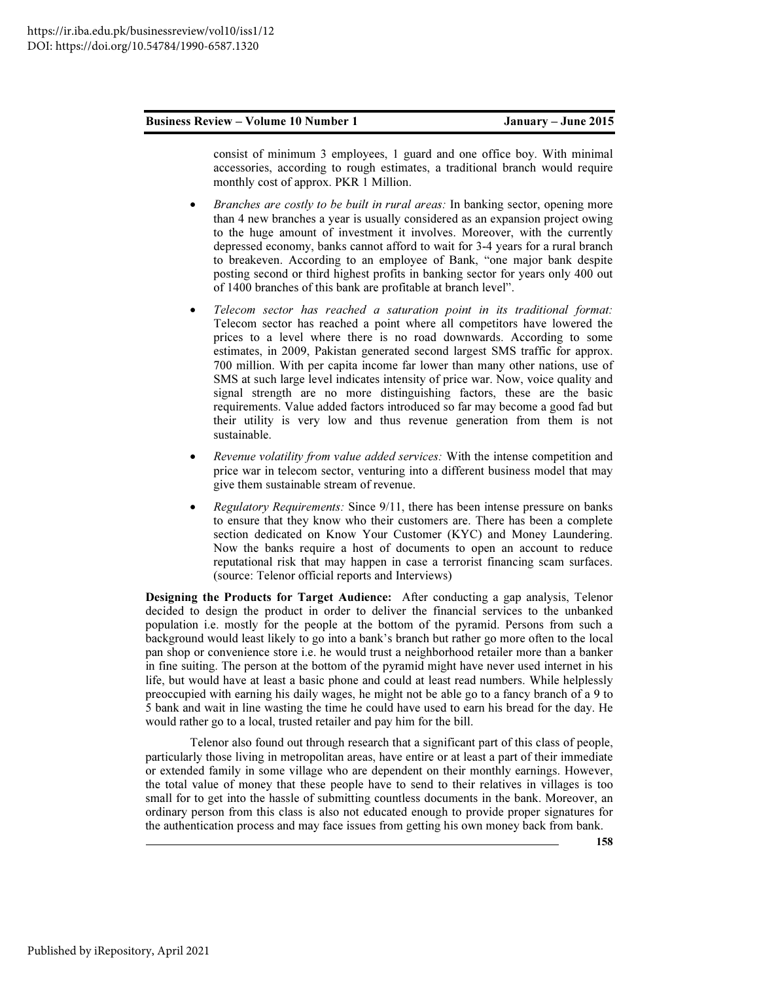consist of minimum 3 employees, 1 guard and one office boy. With minimal accessories, according to rough estimates, a traditional branch would require monthly cost of approx. PKR 1 Million.

- *Branches are costly to be built in rural areas:* In banking sector, opening more than 4 new branches a year is usually considered as an expansion project owing to the huge amount of investment it involves. Moreover, with the currently depressed economy, banks cannot afford to wait for 3-4 years for a rural branch to breakeven. According to an employee of Bank, "one major bank despite posting second or third highest profits in banking sector for years only 400 out of 1400 branches of this bank are profitable at branch level".
- *Telecom sector has reached a saturation point in its traditional format:*  Telecom sector has reached a point where all competitors have lowered the prices to a level where there is no road downwards. According to some estimates, in 2009, Pakistan generated second largest SMS traffic for approx. 700 million. With per capita income far lower than many other nations, use of SMS at such large level indicates intensity of price war. Now, voice quality and signal strength are no more distinguishing factors, these are the basic requirements. Value added factors introduced so far may become a good fad but their utility is very low and thus revenue generation from them is not sustainable.
- *Revenue volatility from value added services:* With the intense competition and price war in telecom sector, venturing into a different business model that may give them sustainable stream of revenue.
- *Regulatory Requirements:* Since 9/11, there has been intense pressure on banks to ensure that they know who their customers are. There has been a complete section dedicated on Know Your Customer (KYC) and Money Laundering. Now the banks require a host of documents to open an account to reduce reputational risk that may happen in case a terrorist financing scam surfaces. (source: Telenor official reports and Interviews)

Designing the Products for Target Audience: After conducting a gap analysis, Telenor decided to design the product in order to deliver the financial services to the unbanked population i.e. mostly for the people at the bottom of the pyramid. Persons from such a background would least likely to go into a bank's branch but rather go more often to the local pan shop or convenience store i.e. he would trust a neighborhood retailer more than a banker in fine suiting. The person at the bottom of the pyramid might have never used internet in his life, but would have at least a basic phone and could at least read numbers. While helplessly preoccupied with earning his daily wages, he might not be able go to a fancy branch of a 9 to 5 bank and wait in line wasting the time he could have used to earn his bread for the day. He would rather go to a local, trusted retailer and pay him for the bill.

Telenor also found out through research that a significant part of this class of people, particularly those living in metropolitan areas, have entire or at least a part of their immediate or extended family in some village who are dependent on their monthly earnings. However, the total value of money that these people have to send to their relatives in villages is too small for to get into the hassle of submitting countless documents in the bank. Moreover, an ordinary person from this class is also not educated enough to provide proper signatures for the authentication process and may face issues from getting his own money back from bank.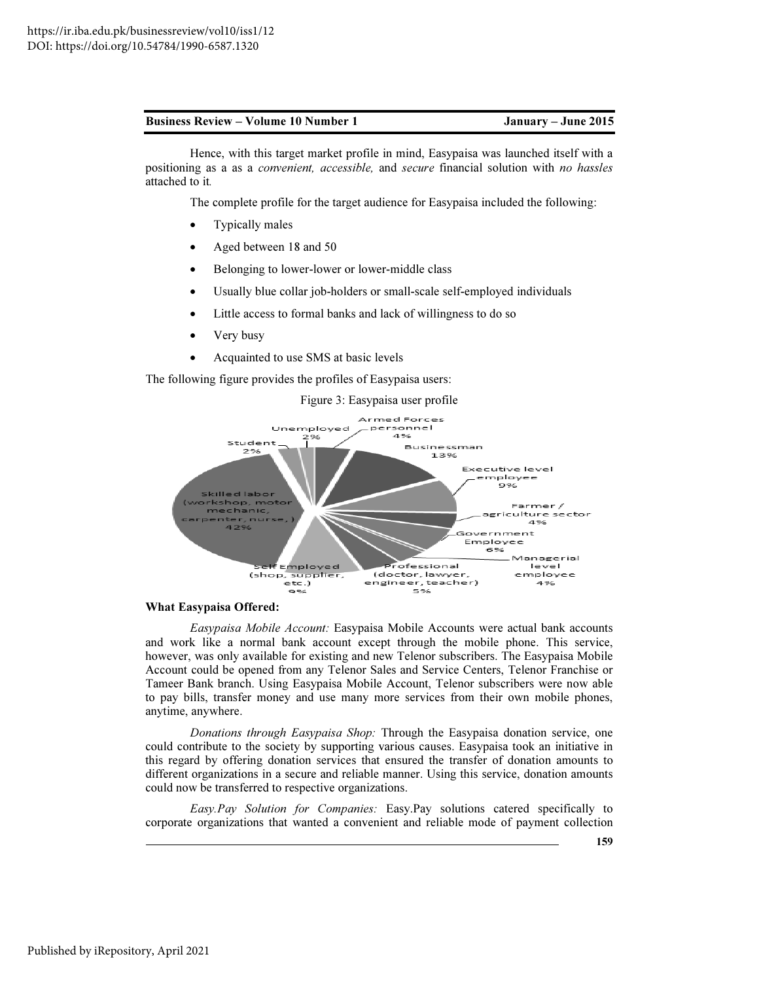Hence, with this target market profile in mind, Easypaisa was launched itself with a positioning as a as a *convenient, accessible,* and *secure* financial solution with *no hassles*  attached to it*.* 

The complete profile for the target audience for Easypaisa included the following:

- Typically males
- Aged between 18 and 50
- Belonging to lower-lower or lower-middle class
- Usually blue collar job-holders or small-scale self-employed individuals
- Little access to formal banks and lack of willingness to do so
- Very busy
- Acquainted to use SMS at basic levels

The following figure provides the profiles of Easypaisa users:

#### Figure 3: Easypaisa user profile



### What Easypaisa Offered:

*Easypaisa Mobile Account:* Easypaisa Mobile Accounts were actual bank accounts and work like a normal bank account except through the mobile phone. This service, however, was only available for existing and new Telenor subscribers. The Easypaisa Mobile Account could be opened from any Telenor Sales and Service Centers, Telenor Franchise or Tameer Bank branch. Using Easypaisa Mobile Account, Telenor subscribers were now able to pay bills, transfer money and use many more services from their own mobile phones, anytime, anywhere.

*Donations through Easypaisa Shop:* Through the Easypaisa donation service, one could contribute to the society by supporting various causes. Easypaisa took an initiative in this regard by offering donation services that ensured the transfer of donation amounts to different organizations in a secure and reliable manner. Using this service, donation amounts could now be transferred to respective organizations.

*Easy.Pay Solution for Companies:* Easy.Pay solutions catered specifically to corporate organizations that wanted a convenient and reliable mode of payment collection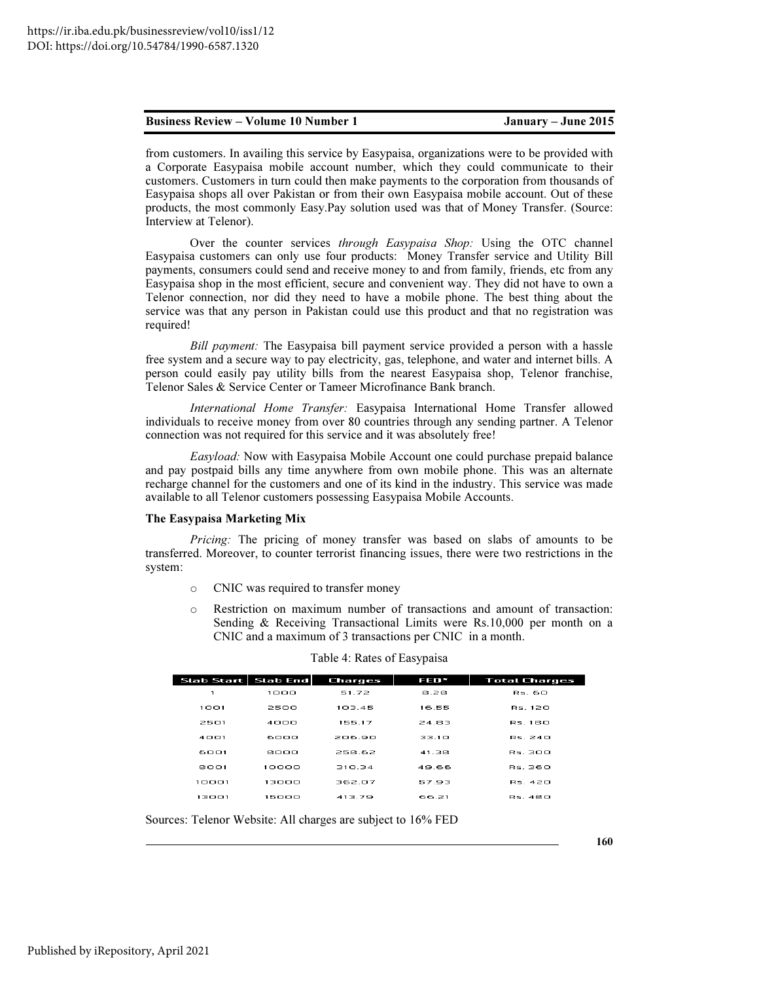from customers. In availing this service by Easypaisa, organizations were to be provided with a Corporate Easypaisa mobile account number, which they could communicate to their customers. Customers in turn could then make payments to the corporation from thousands of Easypaisa shops all over Pakistan or from their own Easypaisa mobile account. Out of these products, the most commonly Easy.Pay solution used was that of Money Transfer. (Source: Interview at Telenor).

Over the counter services *through Easypaisa Shop:* Using the OTC channel Easypaisa customers can only use four products: Money Transfer service and Utility Bill payments, consumers could send and receive money to and from family, friends, etc from any Easypaisa shop in the most efficient, secure and convenient way. They did not have to own a Telenor connection, nor did they need to have a mobile phone. The best thing about the service was that any person in Pakistan could use this product and that no registration was required!

*Bill payment:* The Easypaisa bill payment service provided a person with a hassle free system and a secure way to pay electricity, gas, telephone, and water and internet bills. A person could easily pay utility bills from the nearest Easypaisa shop, Telenor franchise, Telenor Sales & Service Center or Tameer Microfinance Bank branch.

*International Home Transfer:* Easypaisa International Home Transfer allowed individuals to receive money from over 80 countries through any sending partner. A Telenor connection was not required for this service and it was absolutely free!

*Easyload:* Now with Easypaisa Mobile Account one could purchase prepaid balance and pay postpaid bills any time anywhere from own mobile phone. This was an alternate recharge channel for the customers and one of its kind in the industry. This service was made available to all Telenor customers possessing Easypaisa Mobile Accounts.

#### The Easypaisa Marketing Mix

*Pricing:* The pricing of money transfer was based on slabs of amounts to be transferred. Moreover, to counter terrorist financing issues, there were two restrictions in the system:

- o CNIC was required to transfer money
- o Restriction on maximum number of transactions and amount of transaction: Sending & Receiving Transactional Limits were Rs.10,000 per month on a CNIC and a maximum of 3 transactions per CNIC in a month.

| Slab Start   Slab End |       | <b>Charges</b> | FED*  | <b>Total Charges</b> |
|-----------------------|-------|----------------|-------|----------------------|
| 1                     | 1000  | 51.72          | 8.28  | Rs. 60               |
| 1001                  | 2500  | 103.45         | 16.55 | Rs. 120              |
| 2501                  | 4000  | 155.17         | 24.83 | <b>BS 180</b>        |
| 4001                  | 6000  | 206.90         | 33.1O | <b>RS 240</b>        |
| 6001                  | sooo  | 258.62         | 41.38 | Rs BOO               |
| 8001                  | 10000 | 310.34         | 49.66 | RS. 360              |
| 10001                 | 13000 | 362.07         | 57.93 | RS. 420              |
| 13001                 | 15000 | 413.79         | 66.21 | RS. 480              |
|                       |       |                |       |                      |

#### Table 4: Rates of Easypaisa

Sources: Telenor Website: All charges are subject to 16% FED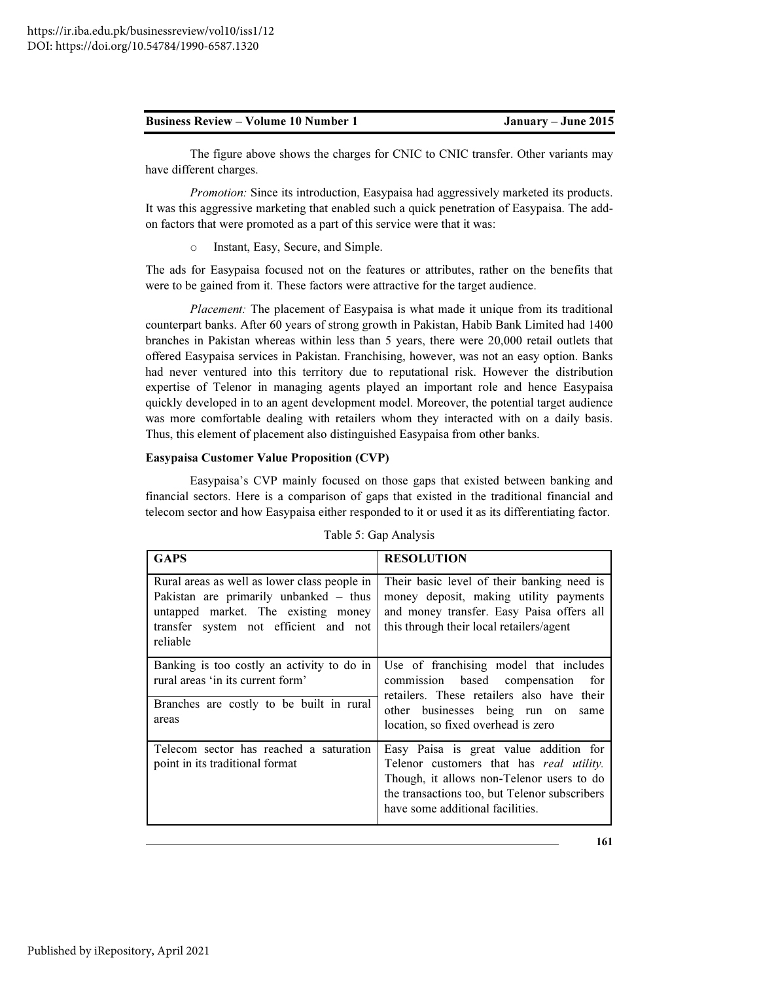| <b>Business Review – Volume 10 Number 1</b> |  |
|---------------------------------------------|--|
|---------------------------------------------|--|

The figure above shows the charges for CNIC to CNIC transfer. Other variants may have different charges.

*Promotion:* Since its introduction, Easypaisa had aggressively marketed its products. It was this aggressive marketing that enabled such a quick penetration of Easypaisa. The addon factors that were promoted as a part of this service were that it was:

Instant, Easy, Secure, and Simple.

The ads for Easypaisa focused not on the features or attributes, rather on the benefits that were to be gained from it. These factors were attractive for the target audience.

*Placement:* The placement of Easypaisa is what made it unique from its traditional counterpart banks. After 60 years of strong growth in Pakistan, Habib Bank Limited had 1400 branches in Pakistan whereas within less than 5 years, there were 20,000 retail outlets that offered Easypaisa services in Pakistan. Franchising, however, was not an easy option. Banks had never ventured into this territory due to reputational risk. However the distribution expertise of Telenor in managing agents played an important role and hence Easypaisa quickly developed in to an agent development model. Moreover, the potential target audience was more comfortable dealing with retailers whom they interacted with on a daily basis. Thus, this element of placement also distinguished Easypaisa from other banks.

#### Easypaisa Customer Value Proposition (CVP)

Easypaisa's CVP mainly focused on those gaps that existed between banking and financial sectors. Here is a comparison of gaps that existed in the traditional financial and telecom sector and how Easypaisa either responded to it or used it as its differentiating factor.

| <b>GAPS</b>                                                                                                                                                                          | <b>RESOLUTION</b>                                                                                                                                                                                                    |
|--------------------------------------------------------------------------------------------------------------------------------------------------------------------------------------|----------------------------------------------------------------------------------------------------------------------------------------------------------------------------------------------------------------------|
| Rural areas as well as lower class people in<br>Pakistan are primarily unbanked $-$ thus<br>untapped market. The existing money<br>transfer system not efficient and not<br>reliable | Their basic level of their banking need is<br>money deposit, making utility payments<br>and money transfer. Easy Paisa offers all<br>this through their local retailers/agent                                        |
| Banking is too costly an activity to do in<br>rural areas 'in its current form'<br>Branches are costly to be built in rural<br>areas                                                 | Use of franchising model that includes<br>commission based compensation<br>for<br>retailers. These retailers also have their<br>other businesses being run on<br>same<br>location, so fixed overhead is zero         |
| Telecom sector has reached a saturation<br>point in its traditional format                                                                                                           | Easy Paisa is great value addition for<br>Telenor customers that has real utility.<br>Though, it allows non-Telenor users to do<br>the transactions too, but Telenor subscribers<br>have some additional facilities. |

Table 5: Gap Analysis

161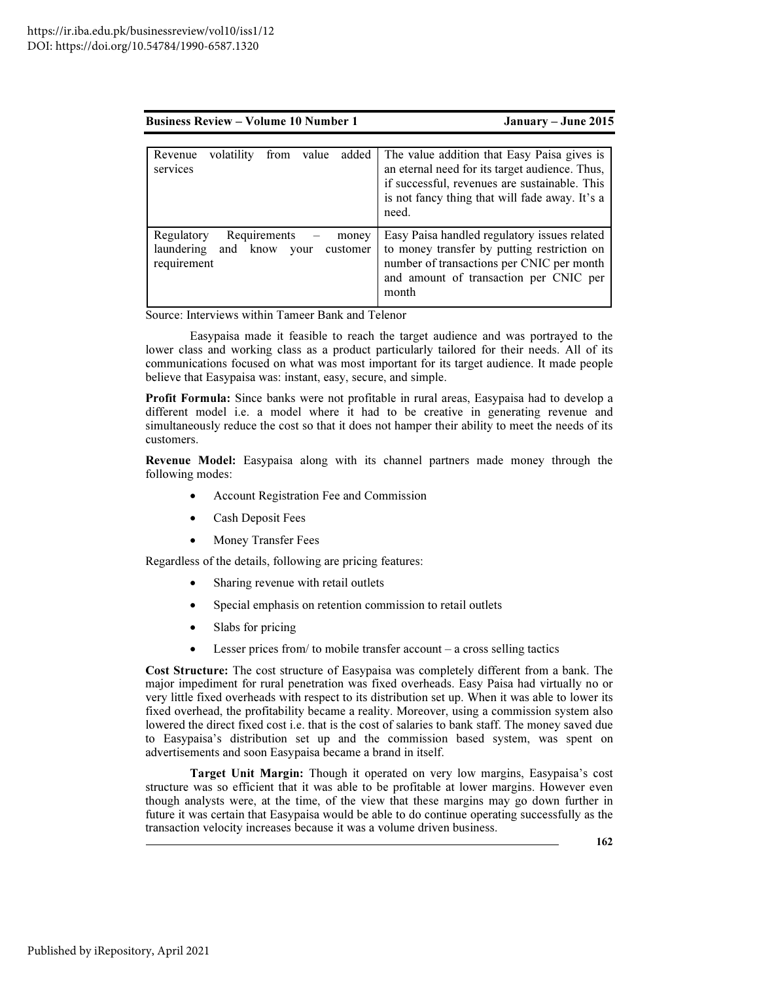| <b>Business Review – Volume 10 Number 1</b> | January – June 2015 |
|---------------------------------------------|---------------------|
|                                             |                     |

| volatility<br>from<br>added<br>value<br>Revenue<br>services                                      | The value addition that Easy Paisa gives is<br>an eternal need for its target audience. Thus,<br>if successful, revenues are sustainable. This<br>is not fancy thing that will fade away. It's a<br>need. |
|--------------------------------------------------------------------------------------------------|-----------------------------------------------------------------------------------------------------------------------------------------------------------------------------------------------------------|
| Requirements<br>Regulatory<br>money<br>laundering<br>and know<br>customer<br>your<br>requirement | Easy Paisa handled regulatory issues related<br>to money transfer by putting restriction on<br>number of transactions per CNIC per month<br>and amount of transaction per CNIC per<br>month               |

Source: Interviews within Tameer Bank and Telenor

Easypaisa made it feasible to reach the target audience and was portrayed to the lower class and working class as a product particularly tailored for their needs. All of its communications focused on what was most important for its target audience. It made people believe that Easypaisa was: instant, easy, secure, and simple.

Profit Formula: Since banks were not profitable in rural areas, Easypaisa had to develop a different model i.e. a model where it had to be creative in generating revenue and simultaneously reduce the cost so that it does not hamper their ability to meet the needs of its customers.

Revenue Model: Easypaisa along with its channel partners made money through the following modes:

- Account Registration Fee and Commission
- Cash Deposit Fees
- Money Transfer Fees

Regardless of the details, following are pricing features:

- Sharing revenue with retail outlets
- Special emphasis on retention commission to retail outlets
- Slabs for pricing
- Lesser prices from/ to mobile transfer account  $-$  a cross selling tactics

Cost Structure: The cost structure of Easypaisa was completely different from a bank. The major impediment for rural penetration was fixed overheads. Easy Paisa had virtually no or very little fixed overheads with respect to its distribution set up. When it was able to lower its fixed overhead, the profitability became a reality. Moreover, using a commission system also lowered the direct fixed cost i.e. that is the cost of salaries to bank staff. The money saved due to Easypaisa's distribution set up and the commission based system, was spent on advertisements and soon Easypaisa became a brand in itself.

Target Unit Margin: Though it operated on very low margins, Easypaisa's cost structure was so efficient that it was able to be profitable at lower margins. However even though analysts were, at the time, of the view that these margins may go down further in future it was certain that Easypaisa would be able to do continue operating successfully as the transaction velocity increases because it was a volume driven business.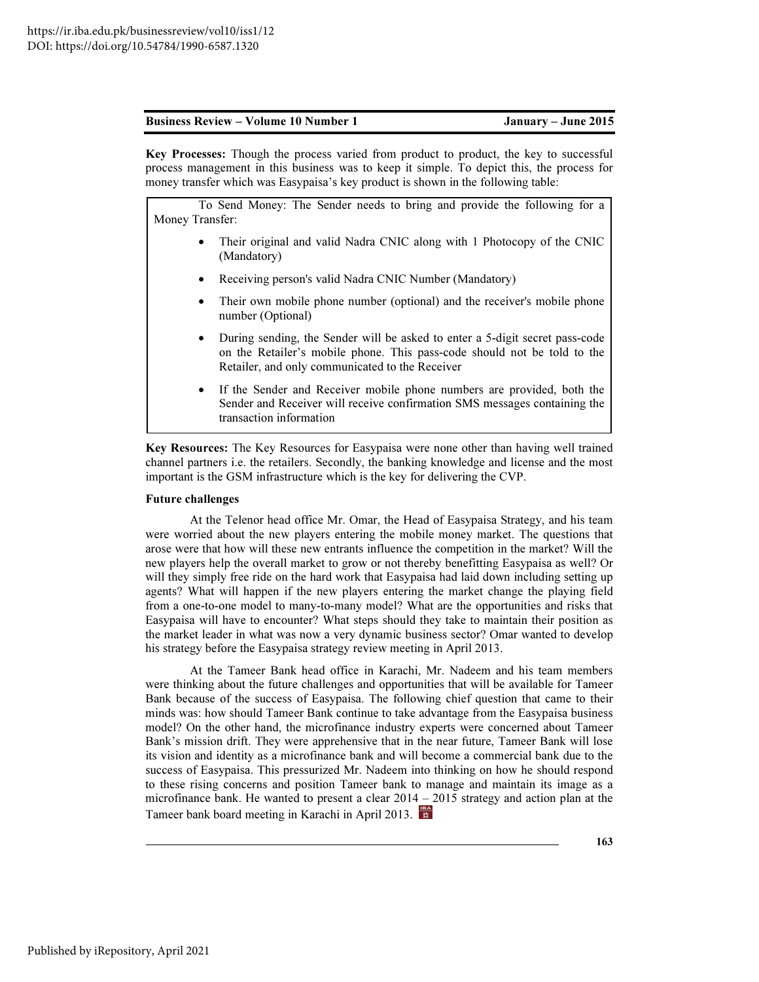Key Processes: Though the process varied from product to product, the key to successful process management in this business was to keep it simple. To depict this, the process for money transfer which was Easypaisa's key product is shown in the following table:

 To Send Money: The Sender needs to bring and provide the following for a Money Transfer:

- Their original and valid Nadra CNIC along with 1 Photocopy of the CNIC (Mandatory)
- Receiving person's valid Nadra CNIC Number (Mandatory)
- Their own mobile phone number (optional) and the receiver's mobile phone number (Optional)
- During sending, the Sender will be asked to enter a 5-digit secret pass-code on the Retailer's mobile phone. This pass-code should not be told to the Retailer, and only communicated to the Receiver
- If the Sender and Receiver mobile phone numbers are provided, both the Sender and Receiver will receive confirmation SMS messages containing the transaction information

Key Resources: The Key Resources for Easypaisa were none other than having well trained channel partners i.e. the retailers. Secondly, the banking knowledge and license and the most important is the GSM infrastructure which is the key for delivering the CVP.

#### Future challenges

At the Telenor head office Mr. Omar, the Head of Easypaisa Strategy, and his team were worried about the new players entering the mobile money market. The questions that arose were that how will these new entrants influence the competition in the market? Will the new players help the overall market to grow or not thereby benefitting Easypaisa as well? Or will they simply free ride on the hard work that Easypaisa had laid down including setting up agents? What will happen if the new players entering the market change the playing field from a one-to-one model to many-to-many model? What are the opportunities and risks that Easypaisa will have to encounter? What steps should they take to maintain their position as the market leader in what was now a very dynamic business sector? Omar wanted to develop his strategy before the Easypaisa strategy review meeting in April 2013.

At the Tameer Bank head office in Karachi, Mr. Nadeem and his team members were thinking about the future challenges and opportunities that will be available for Tameer Bank because of the success of Easypaisa. The following chief question that came to their minds was: how should Tameer Bank continue to take advantage from the Easypaisa business model? On the other hand, the microfinance industry experts were concerned about Tameer Bank's mission drift. They were apprehensive that in the near future, Tameer Bank will lose its vision and identity as a microfinance bank and will become a commercial bank due to the success of Easypaisa. This pressurized Mr. Nadeem into thinking on how he should respond to these rising concerns and position Tameer bank to manage and maintain its image as a microfinance bank. He wanted to present a clear 2014 – 2015 strategy and action plan at the Tameer bank board meeting in Karachi in April 2013.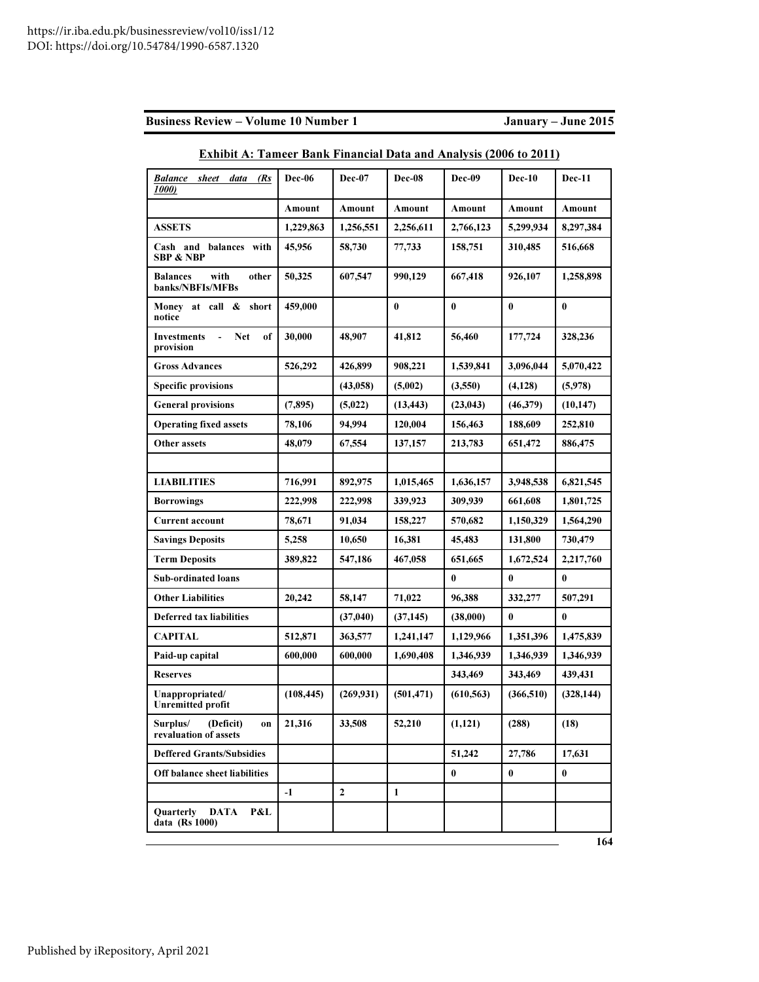|  | <b>Business Review – Volume 10 Number 1</b> |
|--|---------------------------------------------|
|--|---------------------------------------------|

January – June 2015

| <b>Balance</b><br>sheet<br>data<br>(Rs<br>1000)                | <b>Dec-06</b> | <b>Dec-07</b>  | <b>Dec-08</b> | Dec-09     | Dec-10     | Dec-11     |
|----------------------------------------------------------------|---------------|----------------|---------------|------------|------------|------------|
|                                                                | Amount        | Amount         | Amount        | Amount     | Amount     | Amount     |
| <b>ASSETS</b>                                                  | 1,229,863     | 1.256.551      | 2,256,611     | 2,766,123  | 5,299,934  | 8.297.384  |
| Cash and balances with<br><b>SBP &amp; NBP</b>                 | 45,956        | 58,730         | 77,733        | 158,751    | 310,485    | 516,668    |
| with<br>other<br><b>Balances</b><br>banks/NBFIs/MFBs           | 50,325        | 607,547        | 990,129       | 667,418    | 926,107    | 1,258,898  |
| Money at call & short<br>notice                                | 459,000       |                | $\bf{0}$      | $\bf{0}$   | $\bf{0}$   | $\bf{0}$   |
| $\blacksquare$<br><b>Net</b><br>Investments<br>of<br>provision | 30,000        | 48,907         | 41.812        | 56,460     | 177,724    | 328,236    |
| <b>Gross Advances</b>                                          | 526,292       | 426,899        | 908,221       | 1,539,841  | 3,096,044  | 5,070,422  |
| <b>Specific provisions</b>                                     |               | (43,058)       | (5,002)       | (3,550)    | (4,128)    | (5,978)    |
| <b>General provisions</b>                                      | (7,895)       | (5,022)        | (13, 443)     | (23, 043)  | (46,379)   | (10, 147)  |
| <b>Operating fixed assets</b>                                  | 78,106        | 94,994         | 120,004       | 156,463    | 188,609    | 252,810    |
| <b>Other assets</b>                                            | 48,079        | 67,554         | 137,157       | 213,783    | 651,472    | 886,475    |
|                                                                |               |                |               |            |            |            |
| <b>LIABILITIES</b>                                             | 716,991       | 892,975        | 1,015,465     | 1,636,157  | 3,948,538  | 6,821,545  |
| <b>Borrowings</b>                                              | 222,998       | 222,998        | 339,923       | 309,939    | 661,608    | 1,801,725  |
| <b>Current account</b>                                         | 78,671        | 91,034         | 158,227       | 570,682    | 1,150,329  | 1,564,290  |
| <b>Savings Deposits</b>                                        | 5,258         | 10,650         | 16,381        | 45,483     | 131,800    | 730,479    |
| <b>Term Deposits</b>                                           | 389,822       | 547,186        | 467,058       | 651,665    | 1,672,524  | 2,217,760  |
| <b>Sub-ordinated loans</b>                                     |               |                |               | $\bf{0}$   | $\bf{0}$   | $\bf{0}$   |
| <b>Other Liabilities</b>                                       | 20,242        | 58,147         | 71,022        | 96,388     | 332,277    | 507,291    |
| <b>Deferred tax liabilities</b>                                |               | (37,040)       | (37, 145)     | (38,000)   | 0          | 0          |
| <b>CAPITAL</b>                                                 | 512,871       | 363,577        | 1,241,147     | 1,129,966  | 1,351,396  | 1,475,839  |
| Paid-up capital                                                | 600,000       | 600,000        | 1,690,408     | 1,346,939  | 1,346,939  | 1,346,939  |
| <b>Reserves</b>                                                |               |                |               | 343,469    | 343,469    | 439,431    |
| Unappropriated/<br><b>Unremitted profit</b>                    | (108, 445)    | (269, 931)     | (501, 471)    | (610, 563) | (366, 510) | (328, 144) |
| Surplus/<br>(Deficit)<br>on<br>revaluation of assets           | 21,316        | 33,508         | 52,210        | (1, 121)   | (288)      | (18)       |
| <b>Deffered Grants/Subsidies</b>                               |               |                |               | 51,242     | 27,786     | 17,631     |
| Off balance sheet liabilities                                  |               |                |               | $\bf{0}$   | $\bf{0}$   | $\bf{0}$   |
|                                                                | $-1$          | $\overline{2}$ | 1             |            |            |            |
| <b>Ouarterly</b><br><b>DATA</b><br>P&L<br>data (Rs 1000)       |               |                |               |            |            |            |

# Exhibit A: Tameer Bank Financial Data and Analysis (2006 to 2011)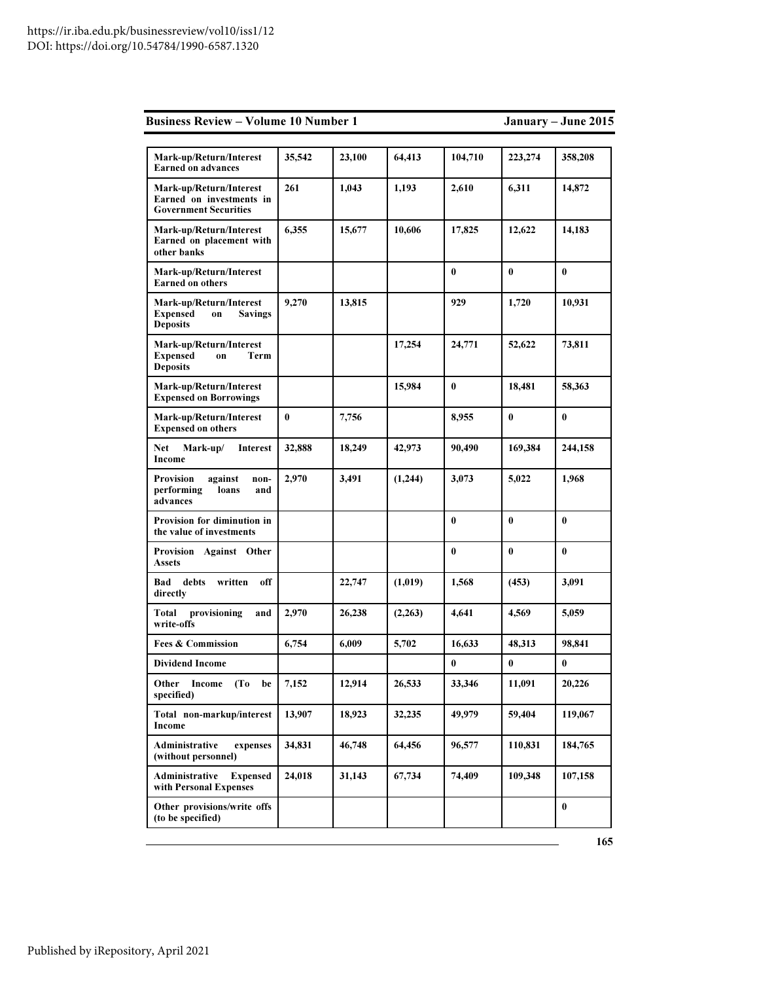|  |  | <b>Business Review – Volume 10 Number 1</b> |
|--|--|---------------------------------------------|
|--|--|---------------------------------------------|

# January – June 2015

| Mark-up/Return/Interest<br><b>Earned on advances</b>                                  | 35,542   | 23,100 | 64,413  | 104,710  | 223,274  | 358,208  |
|---------------------------------------------------------------------------------------|----------|--------|---------|----------|----------|----------|
| Mark-up/Return/Interest<br>Earned on investments in<br><b>Government Securities</b>   | 261      | 1,043  | 1,193   | 2,610    | 6,311    | 14,872   |
| Mark-up/Return/Interest<br>Earned on placement with<br>other banks                    | 6,355    | 15,677 | 10,606  | 17,825   | 12,622   | 14,183   |
| Mark-up/Return/Interest<br><b>Earned on others</b>                                    |          |        |         | $\bf{0}$ | $\bf{0}$ | $\bf{0}$ |
| Mark-up/Return/Interest<br><b>Expensed</b><br><b>Savings</b><br>on<br><b>Deposits</b> | 9,270    | 13,815 |         | 929      | 1,720    | 10,931   |
| Mark-up/Return/Interest<br><b>Expensed</b><br>Term<br>on<br><b>Deposits</b>           |          |        | 17,254  | 24,771   | 52,622   | 73,811   |
| Mark-up/Return/Interest<br><b>Expensed on Borrowings</b>                              |          |        | 15,984  | $\bf{0}$ | 18,481   | 58,363   |
| Mark-up/Return/Interest<br><b>Expensed on others</b>                                  | $\bf{0}$ | 7,756  |         | 8,955    | $\bf{0}$ | $\bf{0}$ |
| <b>Net</b><br>Mark-up/<br><b>Interest</b><br>Income                                   | 32,888   | 18,249 | 42,973  | 90,490   | 169,384  | 244,158  |
| <b>Provision</b><br>against<br>non-<br>performing<br>loans<br>and<br>advances         | 2.970    | 3,491  | (1,244) | 3,073    | 5,022    | 1,968    |
| Provision for diminution in<br>the value of investments                               |          |        |         | $\bf{0}$ | $\bf{0}$ | $\bf{0}$ |
| Provision Against Other<br><b>Assets</b>                                              |          |        |         | $\bf{0}$ | $\bf{0}$ | $\bf{0}$ |
| Bad<br>debts<br>written<br>off<br>directly                                            |          | 22,747 | (1,019) | 1,568    | (453)    | 3,091    |
| provisioning<br>Total<br>and<br>write-offs                                            | 2,970    | 26,238 | (2,263) | 4,641    | 4,569    | 5,059    |
| <b>Fees &amp; Commission</b>                                                          | 6,754    | 6,009  | 5,702   | 16,633   | 48,313   | 98,841   |
| <b>Dividend Income</b>                                                                |          |        |         | $\bf{0}$ | $\bf{0}$ | $\bf{0}$ |
| Other<br>(T <sub>0</sub> )<br>Income<br>be<br>specified)                              | 7,152    | 12,914 | 26,533  | 33,346   | 11.091   | 20,226   |
| Total non-markup/interest<br>Income                                                   | 13,907   | 18,923 | 32,235  | 49,979   | 59,404   | 119,067  |
| Administrative<br>expenses<br>(without personnel)                                     | 34,831   | 46,748 | 64,456  | 96,577   | 110,831  | 184,765  |
| Administrative<br><b>Expensed</b><br>with Personal Expenses                           | 24,018   | 31,143 | 67,734  | 74,409   | 109,348  | 107,158  |
| Other provisions/write offs<br>(to be specified)                                      |          |        |         |          |          | $\bf{0}$ |
|                                                                                       |          |        |         |          |          |          |

165